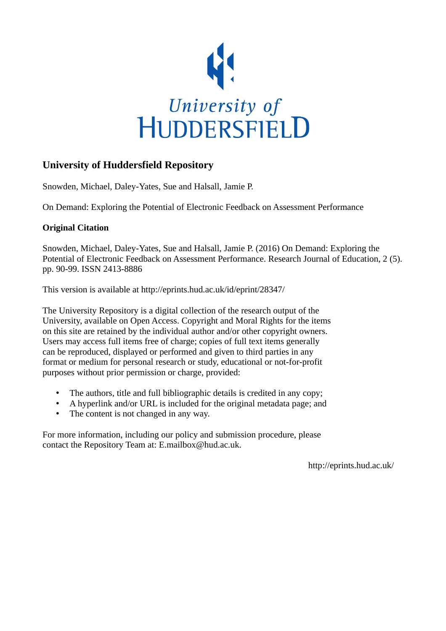

# **University of Huddersfield Repository**

Snowden, Michael, Daley-Yates, Sue and Halsall, Jamie P.

On Demand: Exploring the Potential of Electronic Feedback on Assessment Performance

## **Original Citation**

Snowden, Michael, Daley-Yates, Sue and Halsall, Jamie P. (2016) On Demand: Exploring the Potential of Electronic Feedback on Assessment Performance. Research Journal of Education, 2 (5). pp. 90-99. ISSN 2413-8886

This version is available at http://eprints.hud.ac.uk/id/eprint/28347/

The University Repository is a digital collection of the research output of the University, available on Open Access. Copyright and Moral Rights for the items on this site are retained by the individual author and/or other copyright owners. Users may access full items free of charge; copies of full text items generally can be reproduced, displayed or performed and given to third parties in any format or medium for personal research or study, educational or not-for-profit purposes without prior permission or charge, provided:

- The authors, title and full bibliographic details is credited in any copy;
- A hyperlink and/or URL is included for the original metadata page; and
- The content is not changed in any way.

For more information, including our policy and submission procedure, please contact the Repository Team at: E.mailbox@hud.ac.uk.

http://eprints.hud.ac.uk/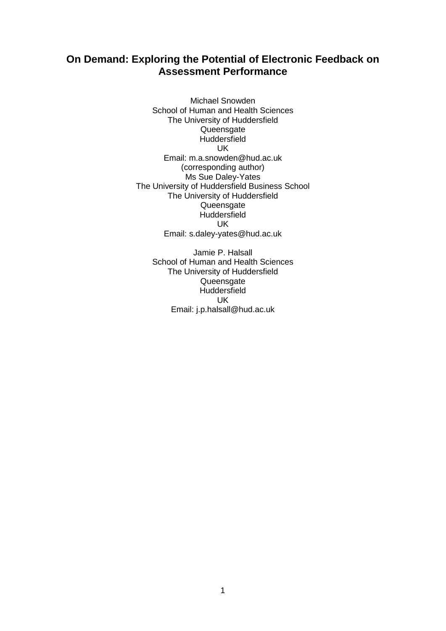# **On Demand: Exploring the Potential of Electronic Feedback on Assessment Performance**

Michael Snowden School of Human and Health Sciences The University of Huddersfield Queensgate **Huddersfield** UK Email: m.a.snowden@hud.ac.uk (corresponding author) Ms Sue Daley-Yates The University of Huddersfield Business School The University of Huddersfield Queensgate **Huddersfield** UK Email: s.daley-yates@hud.ac.uk

Jamie P. Halsall School of Human and Health Sciences The University of Huddersfield Queensgate **Huddersfield** UK Email: j.p.halsall@hud.ac.uk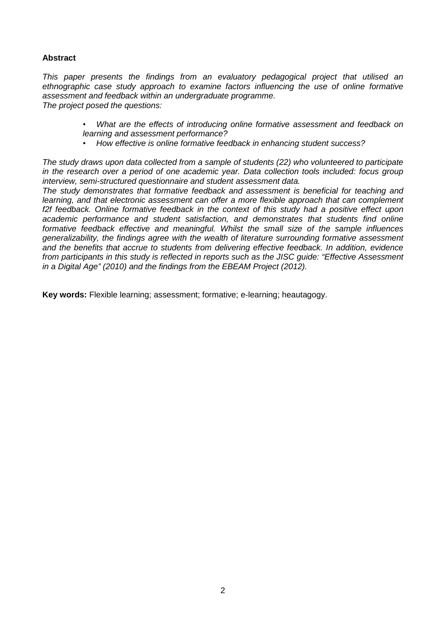### **Abstract**

*This paper presents the findings from an evaluatory pedagogical project that utilised an ethnographic case study approach to examine factors influencing the use of online formative assessment and feedback within an undergraduate programme. The project posed the questions:* 

- *What are the effects of introducing online formative assessment and feedback on learning and assessment performance?*
- *How effective is online formative feedback in enhancing student success?*

*The study draws upon data collected from a sample of students (22) who volunteered to participate in the research over a period of one academic year. Data collection tools included: focus group interview, semi-structured questionnaire and student assessment data.* 

*The study demonstrates that formative feedback and assessment is beneficial for teaching and learning, and that electronic assessment can offer a more flexible approach that can complement f2f feedback. Online formative feedback in the context of this study had a positive effect upon academic performance and student satisfaction, and demonstrates that students find online formative feedback effective and meaningful. Whilst the small size of the sample influences generalizability, the findings agree with the wealth of literature surrounding formative assessment and the benefits that accrue to students from delivering effective feedback. In addition, evidence from participants in this study is reflected in reports such as the JISC guide: "Effective Assessment in a Digital Age" (2010) and the findings from the EBEAM Project (2012).* 

**Key words:** Flexible learning; assessment; formative; e-learning; heautagogy.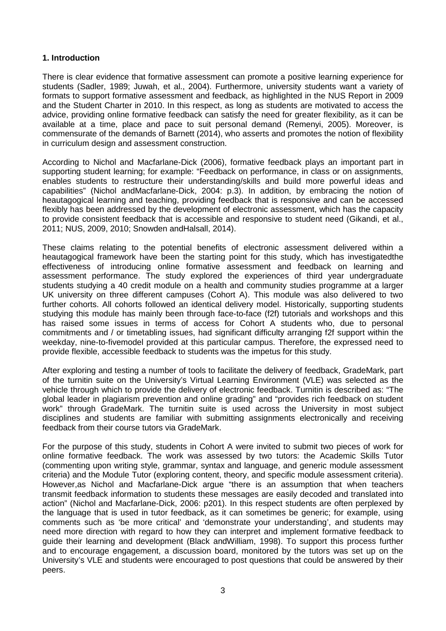#### **1. Introduction**

There is clear evidence that formative assessment can promote a positive learning experience for students (Sadler, 1989; Juwah, et al., 2004). Furthermore, university students want a variety of formats to support formative assessment and feedback, as highlighted in the NUS Report in 2009 and the Student Charter in 2010. In this respect, as long as students are motivated to access the advice, providing online formative feedback can satisfy the need for greater flexibility, as it can be available at a time, place and pace to suit personal demand (Remenyi, 2005). Moreover, is commensurate of the demands of Barnett (2014), who asserts and promotes the notion of flexibility in curriculum design and assessment construction.

According to Nichol and Macfarlane-Dick (2006), formative feedback plays an important part in supporting student learning; for example: "Feedback on performance, in class or on assignments, enables students to restructure their understanding/skills and build more powerful ideas and capabilities" (Nichol andMacfarlane-Dick, 2004: p.3). In addition, by embracing the notion of heautagogical learning and teaching, providing feedback that is responsive and can be accessed flexibly has been addressed by the development of electronic assessment, which has the capacity to provide consistent feedback that is accessible and responsive to student need (Gikandi, et al., 2011; NUS, 2009, 2010; Snowden andHalsall, 2014).

These claims relating to the potential benefits of electronic assessment delivered within a heautagogical framework have been the starting point for this study, which has investigatedthe effectiveness of introducing online formative assessment and feedback on learning and assessment performance. The study explored the experiences of third year undergraduate students studying a 40 credit module on a health and community studies programme at a larger UK university on three different campuses (Cohort A). This module was also delivered to two further cohorts. All cohorts followed an identical delivery model. Historically, supporting students studying this module has mainly been through face-to-face (f2f) tutorials and workshops and this has raised some issues in terms of access for Cohort A students who, due to personal commitments and / or timetabling issues, had significant difficulty arranging f2f support within the weekday, nine-to-fivemodel provided at this particular campus. Therefore, the expressed need to provide flexible, accessible feedback to students was the impetus for this study.

After exploring and testing a number of tools to facilitate the delivery of feedback, GradeMark, part of the turnitin suite on the University's Virtual Learning Environment (VLE) was selected as the vehicle through which to provide the delivery of electronic feedback. Turnitin is described as: "The global leader in plagiarism prevention and online grading" and "provides rich feedback on student work" through GradeMark. The turnitin suite is used across the University in most subject disciplines and students are familiar with submitting assignments electronically and receiving feedback from their course tutors via GradeMark.

For the purpose of this study, students in Cohort A were invited to submit two pieces of work for online formative feedback. The work was assessed by two tutors: the Academic Skills Tutor (commenting upon writing style, grammar, syntax and language, and generic module assessment criteria) and the Module Tutor (exploring content, theory, and specific module assessment criteria). However,as Nichol and Macfarlane-Dick argue "there is an assumption that when teachers transmit feedback information to students these messages are easily decoded and translated into action" (Nichol and Macfarlane-Dick, 2006: p201). In this respect students are often perplexed by the language that is used in tutor feedback, as it can sometimes be generic; for example, using comments such as 'be more critical' and 'demonstrate your understanding', and students may need more direction with regard to how they can interpret and implement formative feedback to guide their learning and development (Black andWilliam, 1998). To support this process further and to encourage engagement, a discussion board, monitored by the tutors was set up on the University's VLE and students were encouraged to post questions that could be answered by their peers.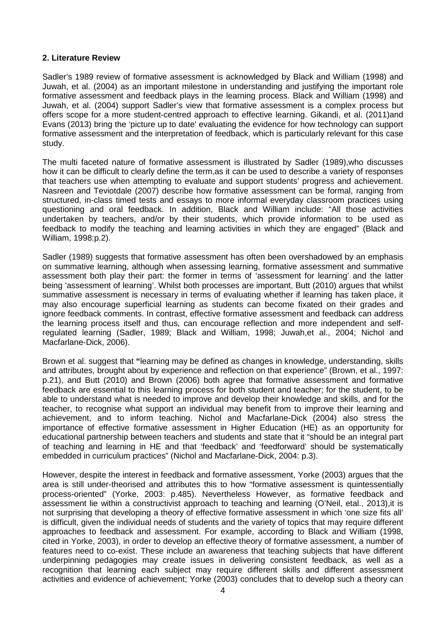#### **2. Literature Review**

Sadler's 1989 review of formative assessment is acknowledged by Black and William (1998) and Juwah, et al. (2004) as an important milestone in understanding and justifying the important role formative assessment and feedback plays in the learning process. Black and William (1998) and Juwah, et al. (2004) support Sadler's view that formative assessment is a complex process but offers scope for a more student-centred approach to effective learning. Gikandi, et al. (2011)and Evans (2013) bring the 'picture up to date' evaluating the evidence for how technology can support formative assessment and the interpretation of feedback, which is particularly relevant for this case study.

The multi faceted nature of formative assessment is illustrated by Sadler (1989),who discusses how it can be difficult to clearly define the term,as it can be used to describe a variety of responses that teachers use when attempting to evaluate and support students' progress and achievement. Nasreen and Teviotdale (2007) describe how formative assessment can be formal, ranging from structured, in-class timed tests and essays to more informal everyday classroom practices using questioning and oral feedback. In addition, Black and William include: "All those activities undertaken by teachers, and/or by their students, which provide information to be used as feedback to modify the teaching and learning activities in which they are engaged" (Black and William, 1998:p.2).

Sadler (1989) suggests that formative assessment has often been overshadowed by an emphasis on summative learning, although when assessing learning, formative assessment and summative assessment both play their part: the former in terms of 'assessment for learning' and the latter being 'assessment of learning'. Whilst both processes are important, Butt (2010) argues that whilst summative assessment is necessary in terms of evaluating whether if learning has taken place, it may also encourage superficial learning as students can become fixated on their grades and ignore feedback comments. In contrast, effective formative assessment and feedback can address the learning process itself and thus, can encourage reflection and more independent and selfregulated learning (Sadler, 1989; Black and William, 1998; Juwah,et al., 2004; Nichol and Macfarlane-Dick, 2006).

Brown et al. suggest that **"**learning may be defined as changes in knowledge, understanding, skills and attributes, brought about by experience and reflection on that experience" (Brown, et al., 1997: p.21), and Butt (2010) and Brown (2006) both agree that formative assessment and formative feedback are essential to this learning process for both student and teacher; for the student, to be able to understand what is needed to improve and develop their knowledge and skills, and for the teacher, to recognise what support an individual may benefit from to improve their learning and achievement, and to inform teaching. Nichol and Macfarlane-Dick (2004) also stress the importance of effective formative assessment in Higher Education (HE) as an opportunity for educational partnership between teachers and students and state that it "should be an integral part of teaching and learning in HE and that 'feedback' and 'feedforward' should be systematically embedded in curriculum practices" (Nichol and Macfarlane-Dick, 2004: p.3).

However, despite the interest in feedback and formative assessment, Yorke (2003) argues that the area is still under-theorised and attributes this to how "formative assessment is quintessentially process-oriented" (Yorke, 2003: p.485). Nevertheless However, as formative feedback and assessment lie within a constructivist approach to teaching and learning (O'Neil, etal., 2013),it is not surprising that developing a theory of effective formative assessment in which 'one size fits all' is difficult, given the individual needs of students and the variety of topics that may require different approaches to feedback and assessment. For example, according to Black and William (1998, cited in Yorke, 2003), in order to develop an effective theory of formative assessment, a number of features need to co-exist. These include an awareness that teaching subjects that have different underpinning pedagogies may create issues in delivering consistent feedback, as well as a recognition that learning each subject may require different skills and different assessment activities and evidence of achievement; Yorke (2003) concludes that to develop such a theory can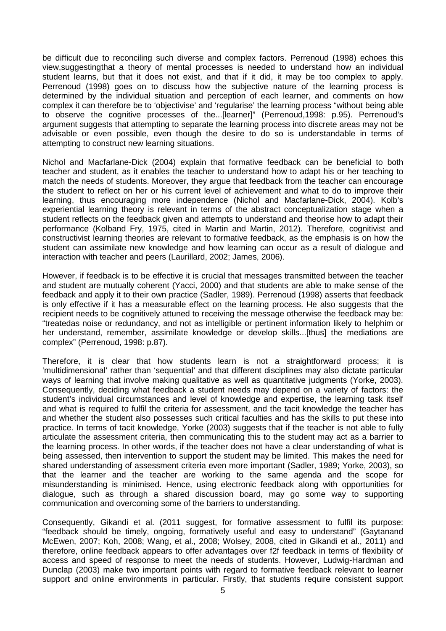be difficult due to reconciling such diverse and complex factors. Perrenoud (1998) echoes this view,suggestingthat a theory of mental processes is needed to understand how an individual student learns, but that it does not exist, and that if it did, it may be too complex to apply. Perrenoud (1998) goes on to discuss how the subjective nature of the learning process is determined by the individual situation and perception of each learner, and comments on how complex it can therefore be to 'objectivise' and 'regularise' the learning process "without being able to observe the cognitive processes of the...[learner]" (Perrenoud,1998: p.95). Perrenoud's argument suggests that attempting to separate the learning process into discrete areas may not be advisable or even possible, even though the desire to do so is understandable in terms of attempting to construct new learning situations.

Nichol and Macfarlane-Dick (2004) explain that formative feedback can be beneficial to both teacher and student, as it enables the teacher to understand how to adapt his or her teaching to match the needs of students. Moreover, they argue that feedback from the teacher can encourage the student to reflect on her or his current level of achievement and what to do to improve their learning, thus encouraging more independence (Nichol and Macfarlane-Dick, 2004). Kolb's experiential learning theory is relevant in terms of the abstract conceptualization stage when a student reflects on the feedback given and attempts to understand and theorise how to adapt their performance (Kolband Fry, 1975, cited in Martin and Martin, 2012). Therefore, cognitivist and constructivist learning theories are relevant to formative feedback, as the emphasis is on how the student can assimilate new knowledge and how learning can occur as a result of dialogue and interaction with teacher and peers (Laurillard, 2002; James, 2006).

However, if feedback is to be effective it is crucial that messages transmitted between the teacher and student are mutually coherent (Yacci, 2000) and that students are able to make sense of the feedback and apply it to their own practice (Sadler, 1989). Perrenoud (1998) asserts that feedback is only effective if it has a measurable effect on the learning process. He also suggests that the recipient needs to be cognitively attuned to receiving the message otherwise the feedback may be: "treatedas noise or redundancy, and not as intelligible or pertinent information likely to helphim or her understand, remember, assimilate knowledge or develop skills...[thus] the mediations are complex" (Perrenoud, 1998: p.87).

Therefore, it is clear that how students learn is not a straightforward process; it is 'multidimensional' rather than 'sequential' and that different disciplines may also dictate particular ways of learning that involve making qualitative as well as quantitative judgments (Yorke, 2003). Consequently, deciding what feedback a student needs may depend on a variety of factors: the student's individual circumstances and level of knowledge and expertise, the learning task itself and what is required to fulfil the criteria for assessment, and the tacit knowledge the teacher has and whether the student also possesses such critical faculties and has the skills to put these into practice. In terms of tacit knowledge, Yorke (2003) suggests that if the teacher is not able to fully articulate the assessment criteria, then communicating this to the student may act as a barrier to the learning process. In other words, if the teacher does not have a clear understanding of what is being assessed, then intervention to support the student may be limited. This makes the need for shared understanding of assessment criteria even more important (Sadler, 1989; Yorke, 2003), so that the learner and the teacher are working to the same agenda and the scope for misunderstanding is minimised. Hence, using electronic feedback along with opportunities for dialogue, such as through a shared discussion board, may go some way to supporting communication and overcoming some of the barriers to understanding.

Consequently, Gikandi et al. (2011 suggest, for formative assessment to fulfil its purpose: "feedback should be timely, ongoing, formatively useful and easy to understand" (Gaytanand McEwen, 2007; Koh, 2008; Wang, et al., 2008; Wolsey, 2008, cited in Gikandi et al., 2011) and therefore, online feedback appears to offer advantages over f2f feedback in terms of flexibility of access and speed of response to meet the needs of students. However, Ludwig-Hardman and Dunclap (2003) make two important points with regard to formative feedback relevant to learner support and online environments in particular. Firstly, that students require consistent support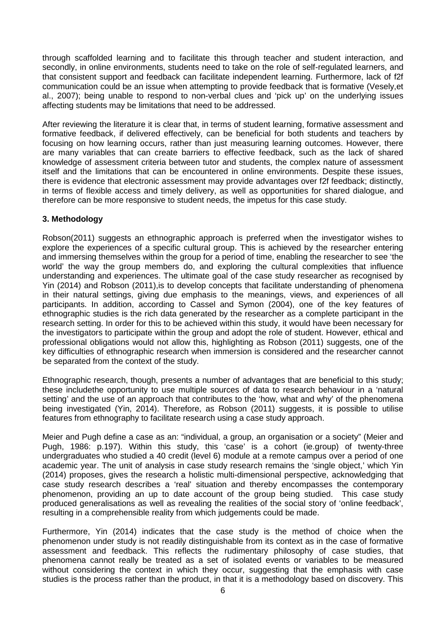through scaffolded learning and to facilitate this through teacher and student interaction, and secondly, in online environments, students need to take on the role of self-regulated learners, and that consistent support and feedback can facilitate independent learning. Furthermore, lack of f2f communication could be an issue when attempting to provide feedback that is formative (Vesely,et al., 2007); being unable to respond to non-verbal clues and 'pick up' on the underlying issues affecting students may be limitations that need to be addressed.

After reviewing the literature it is clear that, in terms of student learning, formative assessment and formative feedback, if delivered effectively, can be beneficial for both students and teachers by focusing on how learning occurs, rather than just measuring learning outcomes. However, there are many variables that can create barriers to effective feedback, such as the lack of shared knowledge of assessment criteria between tutor and students, the complex nature of assessment itself and the limitations that can be encountered in online environments. Despite these issues, there is evidence that electronic assessment may provide advantages over f2f feedback; distinctly, in terms of flexible access and timely delivery, as well as opportunities for shared dialogue, and therefore can be more responsive to student needs, the impetus for this case study.

### **3. Methodology**

Robson(2011) suggests an ethnographic approach is preferred when the investigator wishes to explore the experiences of a specific cultural group. This is achieved by the researcher entering and immersing themselves within the group for a period of time, enabling the researcher to see 'the world' the way the group members do, and exploring the cultural complexities that influence understanding and experiences. The ultimate goal of the case study researcher as recognised by Yin (2014) and Robson (2011),is to develop concepts that facilitate understanding of phenomena in their natural settings, giving due emphasis to the meanings, views, and experiences of all participants. In addition, according to Cassel and Symon (2004), one of the key features of ethnographic studies is the rich data generated by the researcher as a complete participant in the research setting. In order for this to be achieved within this study, it would have been necessary for the investigators to participate within the group and adopt the role of student. However, ethical and professional obligations would not allow this, highlighting as Robson (2011) suggests, one of the key difficulties of ethnographic research when immersion is considered and the researcher cannot be separated from the context of the study.

Ethnographic research, though, presents a number of advantages that are beneficial to this study; these includethe opportunity to use multiple sources of data to research behaviour in a 'natural setting' and the use of an approach that contributes to the 'how, what and why' of the phenomena being investigated (Yin, 2014). Therefore, as Robson (2011) suggests, it is possible to utilise features from ethnography to facilitate research using a case study approach.

Meier and Pugh define a case as an: "individual, a group, an organisation or a society" (Meier and Pugh, 1986: p.197). Within this study, this 'case' is a cohort (ie.group) of twenty-three undergraduates who studied a 40 credit (level 6) module at a remote campus over a period of one academic year. The unit of analysis in case study research remains the 'single object,' which Yin (2014) proposes, gives the research a holistic multi-dimensional perspective, acknowledging that case study research describes a 'real' situation and thereby encompasses the contemporary phenomenon, providing an up to date account of the group being studied. This case study produced generalisations as well as revealing the realities of the social story of 'online feedback', resulting in a comprehensible reality from which judgements could be made.

Furthermore, Yin (2014) indicates that the case study is the method of choice when the phenomenon under study is not readily distinguishable from its context as in the case of formative assessment and feedback. This reflects the rudimentary philosophy of case studies, that phenomena cannot really be treated as a set of isolated events or variables to be measured without considering the context in which they occur, suggesting that the emphasis with case studies is the process rather than the product, in that it is a methodology based on discovery. This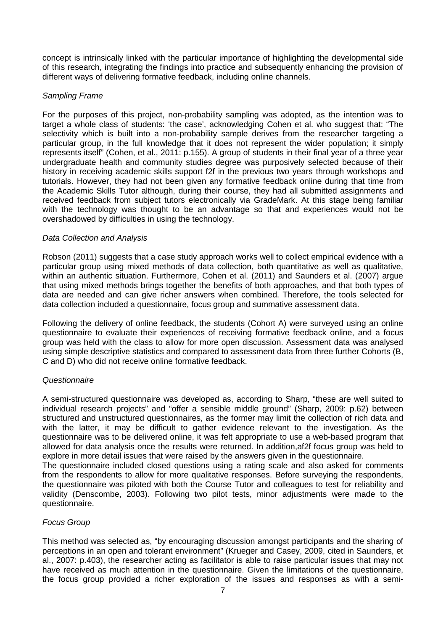concept is intrinsically linked with the particular importance of highlighting the developmental side of this research, integrating the findings into practice and subsequently enhancing the provision of different ways of delivering formative feedback, including online channels.

### *Sampling Frame*

For the purposes of this project, non-probability sampling was adopted, as the intention was to target a whole class of students: 'the case', acknowledging Cohen et al. who suggest that: "The selectivity which is built into a non-probability sample derives from the researcher targeting a particular group, in the full knowledge that it does not represent the wider population; it simply represents itself" (Cohen, et al., 2011: p.155). A group of students in their final year of a three year undergraduate health and community studies degree was purposively selected because of their history in receiving academic skills support f2f in the previous two years through workshops and tutorials. However, they had not been given any formative feedback online during that time from the Academic Skills Tutor although, during their course, they had all submitted assignments and received feedback from subject tutors electronically via GradeMark. At this stage being familiar with the technology was thought to be an advantage so that and experiences would not be overshadowed by difficulties in using the technology.

#### *Data Collection and Analysis*

Robson (2011) suggests that a case study approach works well to collect empirical evidence with a particular group using mixed methods of data collection, both quantitative as well as qualitative, within an authentic situation. Furthermore, Cohen et al. (2011) and Saunders et al. (2007) argue that using mixed methods brings together the benefits of both approaches, and that both types of data are needed and can give richer answers when combined. Therefore, the tools selected for data collection included a questionnaire, focus group and summative assessment data.

Following the delivery of online feedback, the students (Cohort A) were surveyed using an online questionnaire to evaluate their experiences of receiving formative feedback online, and a focus group was held with the class to allow for more open discussion. Assessment data was analysed using simple descriptive statistics and compared to assessment data from three further Cohorts (B, C and D) who did not receive online formative feedback.

#### *Questionnaire*

A semi-structured questionnaire was developed as, according to Sharp, "these are well suited to individual research projects" and "offer a sensible middle ground" (Sharp, 2009: p.62) between structured and unstructured questionnaires, as the former may limit the collection of rich data and with the latter, it may be difficult to gather evidence relevant to the investigation. As the questionnaire was to be delivered online, it was felt appropriate to use a web-based program that allowed for data analysis once the results were returned. In addition,af2f focus group was held to explore in more detail issues that were raised by the answers given in the questionnaire.

The questionnaire included closed questions using a rating scale and also asked for comments from the respondents to allow for more qualitative responses. Before surveying the respondents, the questionnaire was piloted with both the Course Tutor and colleagues to test for reliability and validity (Denscombe, 2003). Following two pilot tests, minor adjustments were made to the questionnaire.

#### *Focus Group*

This method was selected as, "by encouraging discussion amongst participants and the sharing of perceptions in an open and tolerant environment" (Krueger and Casey, 2009, cited in Saunders, et al., 2007: p.403), the researcher acting as facilitator is able to raise particular issues that may not have received as much attention in the questionnaire. Given the limitations of the questionnaire, the focus group provided a richer exploration of the issues and responses as with a semi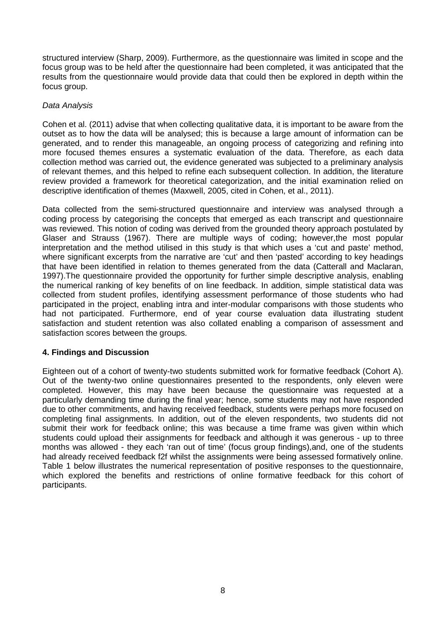structured interview (Sharp, 2009). Furthermore, as the questionnaire was limited in scope and the focus group was to be held after the questionnaire had been completed, it was anticipated that the results from the questionnaire would provide data that could then be explored in depth within the focus group.

#### *Data Analysis*

Cohen et al. (2011) advise that when collecting qualitative data, it is important to be aware from the outset as to how the data will be analysed; this is because a large amount of information can be generated, and to render this manageable, an ongoing process of categorizing and refining into more focused themes ensures a systematic evaluation of the data. Therefore, as each data collection method was carried out, the evidence generated was subjected to a preliminary analysis of relevant themes, and this helped to refine each subsequent collection. In addition, the literature review provided a framework for theoretical categorization, and the initial examination relied on descriptive identification of themes (Maxwell, 2005, cited in Cohen, et al., 2011).

Data collected from the semi-structured questionnaire and interview was analysed through a coding process by categorising the concepts that emerged as each transcript and questionnaire was reviewed. This notion of coding was derived from the grounded theory approach postulated by Glaser and Strauss (1967). There are multiple ways of coding; however,the most popular interpretation and the method utilised in this study is that which uses a 'cut and paste' method, where significant excerpts from the narrative are 'cut' and then 'pasted' according to key headings that have been identified in relation to themes generated from the data (Catterall and Maclaran, 1997).The questionnaire provided the opportunity for further simple descriptive analysis, enabling the numerical ranking of key benefits of on line feedback. In addition, simple statistical data was collected from student profiles, identifying assessment performance of those students who had participated in the project, enabling intra and inter-modular comparisons with those students who had not participated. Furthermore, end of year course evaluation data illustrating student satisfaction and student retention was also collated enabling a comparison of assessment and satisfaction scores between the groups.

#### **4. Findings and Discussion**

Eighteen out of a cohort of twenty-two students submitted work for formative feedback (Cohort A). Out of the twenty-two online questionnaires presented to the respondents, only eleven were completed. However, this may have been because the questionnaire was requested at a particularly demanding time during the final year; hence, some students may not have responded due to other commitments, and having received feedback, students were perhaps more focused on completing final assignments. In addition, out of the eleven respondents, two students did not submit their work for feedback online; this was because a time frame was given within which students could upload their assignments for feedback and although it was generous - up to three months was allowed - they each 'ran out of time' (focus group findings),and, one of the students had already received feedback f2f whilst the assignments were being assessed formatively online. Table 1 below illustrates the numerical representation of positive responses to the questionnaire, which explored the benefits and restrictions of online formative feedback for this cohort of participants.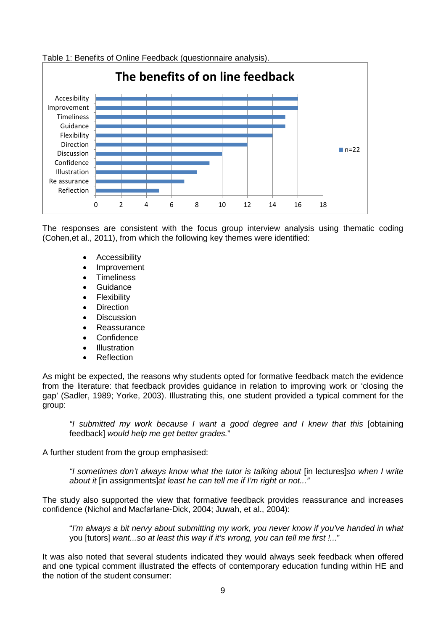

Table 1: Benefits of Online Feedback (questionnaire analysis).

The responses are consistent with the focus group interview analysis using thematic coding (Cohen,et al., 2011), from which the following key themes were identified:

- Accessibility
- Improvement
- **Timeliness**
- **Guidance**
- **Flexibility**
- **Direction**
- Discussion
- **Reassurance**
- **Confidence**
- Illustration
- Reflection

As might be expected, the reasons why students opted for formative feedback match the evidence from the literature: that feedback provides guidance in relation to improving work or 'closing the gap' (Sadler, 1989; Yorke, 2003). Illustrating this, one student provided a typical comment for the group:

*"I submitted my work because I want a good degree and I knew that this* [obtaining feedback] *would help me get better grades.*"

A further student from the group emphasised:

*"I sometimes don't always know what the tutor is talking about* [in lectures]*so when I write about it* [in assignments]*at least he can tell me if I'm right or not..."*

The study also supported the view that formative feedback provides reassurance and increases confidence (Nichol and Macfarlane-Dick, 2004; Juwah, et al., 2004):

"*I'm always a bit nervy about submitting my work, you never know if you've handed in what* you [tutors] *want...so at least this way if it's wrong, you can tell me first !...*"

It was also noted that several students indicated they would always seek feedback when offered and one typical comment illustrated the effects of contemporary education funding within HE and the notion of the student consumer: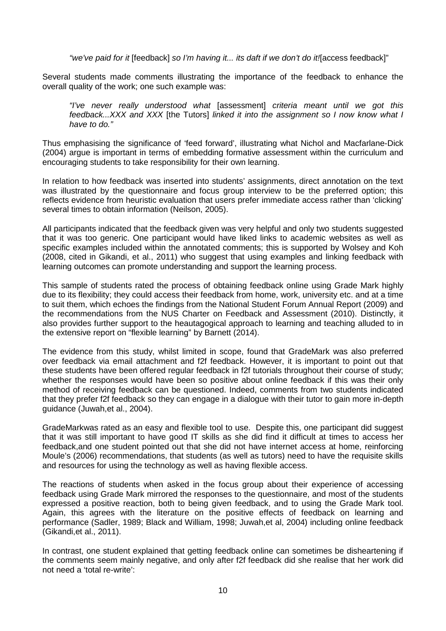*"we've paid for it* [feedback] *so I'm having it... its daft if we don't do it!*[access feedback]"

Several students made comments illustrating the importance of the feedback to enhance the overall quality of the work; one such example was:

*"I've never really understood what* [assessment] *criteria meant until we got this feedback...XXX and XXX* [the Tutors] *linked it into the assignment so I now know what I have to do."* 

Thus emphasising the significance of 'feed forward', illustrating what Nichol and Macfarlane-Dick (2004) argue is important in terms of embedding formative assessment within the curriculum and encouraging students to take responsibility for their own learning.

In relation to how feedback was inserted into students' assignments, direct annotation on the text was illustrated by the questionnaire and focus group interview to be the preferred option; this reflects evidence from heuristic evaluation that users prefer immediate access rather than 'clicking' several times to obtain information (Neilson, 2005).

All participants indicated that the feedback given was very helpful and only two students suggested that it was too generic. One participant would have liked links to academic websites as well as specific examples included within the annotated comments; this is supported by Wolsey and Koh (2008, cited in Gikandi, et al., 2011) who suggest that using examples and linking feedback with learning outcomes can promote understanding and support the learning process.

This sample of students rated the process of obtaining feedback online using Grade Mark highly due to its flexibility; they could access their feedback from home, work, university etc. and at a time to suit them, which echoes the findings from the National Student Forum Annual Report (2009) and the recommendations from the NUS Charter on Feedback and Assessment (2010). Distinctly, it also provides further support to the heautagogical approach to learning and teaching alluded to in the extensive report on "flexible learning" by Barnett (2014).

The evidence from this study, whilst limited in scope, found that GradeMark was also preferred over feedback via email attachment and f2f feedback. However, it is important to point out that these students have been offered regular feedback in f2f tutorials throughout their course of study; whether the responses would have been so positive about online feedback if this was their only method of receiving feedback can be questioned. Indeed, comments from two students indicated that they prefer f2f feedback so they can engage in a dialogue with their tutor to gain more in-depth guidance (Juwah,et al., 2004).

GradeMarkwas rated as an easy and flexible tool to use. Despite this, one participant did suggest that it was still important to have good IT skills as she did find it difficult at times to access her feedback,and one student pointed out that she did not have internet access at home, reinforcing Moule's (2006) recommendations, that students (as well as tutors) need to have the requisite skills and resources for using the technology as well as having flexible access.

The reactions of students when asked in the focus group about their experience of accessing feedback using Grade Mark mirrored the responses to the questionnaire, and most of the students expressed a positive reaction, both to being given feedback, and to using the Grade Mark tool. Again, this agrees with the literature on the positive effects of feedback on learning and performance (Sadler, 1989; Black and William, 1998; Juwah,et al, 2004) including online feedback (Gikandi,et al., 2011).

In contrast, one student explained that getting feedback online can sometimes be disheartening if the comments seem mainly negative, and only after f2f feedback did she realise that her work did not need a 'total re-write':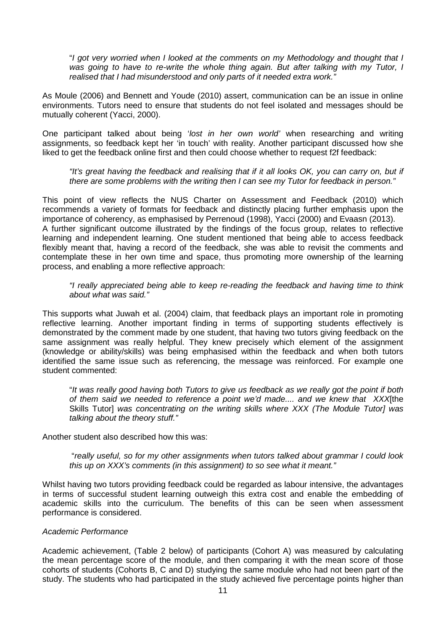"*I got very worried when I looked at the comments on my Methodology and thought that I was going to have to re-write the whole thing again. But after talking with my Tutor, I realised that I had misunderstood and only parts of it needed extra work."*

As Moule (2006) and Bennett and Youde (2010) assert, communication can be an issue in online environments. Tutors need to ensure that students do not feel isolated and messages should be mutually coherent (Yacci, 2000).

One participant talked about being '*lost in her own world'* when researching and writing assignments, so feedback kept her 'in touch' with reality. Another participant discussed how she liked to get the feedback online first and then could choose whether to request f2f feedback:

*"It's great having the feedback and realising that if it all looks OK, you can carry on, but if there are some problems with the writing then I can see my Tutor for feedback in person."*

This point of view reflects the NUS Charter on Assessment and Feedback (2010) which recommends a variety of formats for feedback and distinctly placing further emphasis upon the importance of coherency, as emphasised by Perrenoud (1998), Yacci (2000) and Evaasn (2013). A further significant outcome illustrated by the findings of the focus group, relates to reflective learning and independent learning. One student mentioned that being able to access feedback flexibly meant that, having a record of the feedback, she was able to revisit the comments and contemplate these in her own time and space, thus promoting more ownership of the learning process, and enabling a more reflective approach:

*"I really appreciated being able to keep re-reading the feedback and having time to think about what was said."* 

This supports what Juwah et al. (2004) claim, that feedback plays an important role in promoting reflective learning. Another important finding in terms of supporting students effectively is demonstrated by the comment made by one student, that having two tutors giving feedback on the same assignment was really helpful. They knew precisely which element of the assignment (knowledge or ability/skills) was being emphasised within the feedback and when both tutors identified the same issue such as referencing, the message was reinforced. For example one student commented:

"*It was really good having both Tutors to give us feedback as we really got the point if both of them said we needed to reference a point we'd made.... and we knew that XXX*[the Skills Tutor] *was concentrating on the writing skills where XXX (The Module Tutor] was talking about the theory stuff."*

Another student also described how this was:

"*really useful, so for my other assignments when tutors talked about grammar I could look this up on XXX's comments (in this assignment) to so see what it meant."*

Whilst having two tutors providing feedback could be regarded as labour intensive, the advantages in terms of successful student learning outweigh this extra cost and enable the embedding of academic skills into the curriculum. The benefits of this can be seen when assessment performance is considered.

#### *Academic Performance*

Academic achievement, (Table 2 below) of participants (Cohort A) was measured by calculating the mean percentage score of the module, and then comparing it with the mean score of those cohorts of students (Cohorts B, C and D) studying the same module who had not been part of the study. The students who had participated in the study achieved five percentage points higher than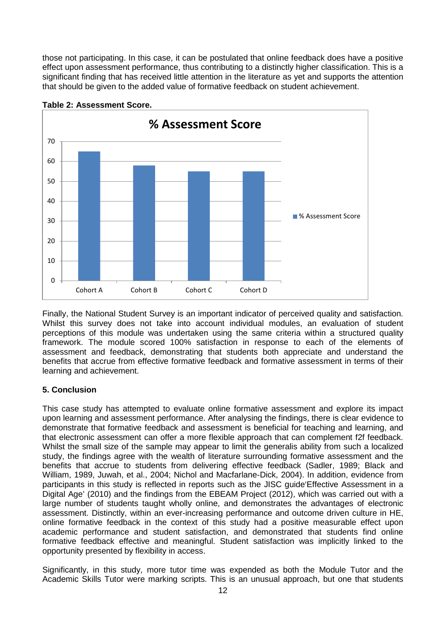those not participating. In this case, it can be postulated that online feedback does have a positive effect upon assessment performance, thus contributing to a distinctly higher classification. This is a significant finding that has received little attention in the literature as yet and supports the attention that should be given to the added value of formative feedback on student achievement.



**Table 2: Assessment Score.**

Finally, the National Student Survey is an important indicator of perceived quality and satisfaction. Whilst this survey does not take into account individual modules, an evaluation of student perceptions of this module was undertaken using the same criteria within a structured quality framework. The module scored 100% satisfaction in response to each of the elements of assessment and feedback, demonstrating that students both appreciate and understand the benefits that accrue from effective formative feedback and formative assessment in terms of their learning and achievement.

## **5. Conclusion**

This case study has attempted to evaluate online formative assessment and explore its impact upon learning and assessment performance. After analysing the findings, there is clear evidence to demonstrate that formative feedback and assessment is beneficial for teaching and learning, and that electronic assessment can offer a more flexible approach that can complement f2f feedback. Whilst the small size of the sample may appear to limit the generalis ability from such a localized study, the findings agree with the wealth of literature surrounding formative assessment and the benefits that accrue to students from delivering effective feedback (Sadler, 1989; Black and William, 1989, Juwah, et al., 2004; Nichol and Macfarlane-Dick, 2004). In addition, evidence from participants in this study is reflected in reports such as the JISC guide'Effective Assessment in a Digital Age' (2010) and the findings from the EBEAM Project (2012), which was carried out with a large number of students taught wholly online, and demonstrates the advantages of electronic assessment. Distinctly, within an ever-increasing performance and outcome driven culture in HE, online formative feedback in the context of this study had a positive measurable effect upon academic performance and student satisfaction, and demonstrated that students find online formative feedback effective and meaningful. Student satisfaction was implicitly linked to the opportunity presented by flexibility in access.

Significantly, in this study, more tutor time was expended as both the Module Tutor and the Academic Skills Tutor were marking scripts. This is an unusual approach, but one that students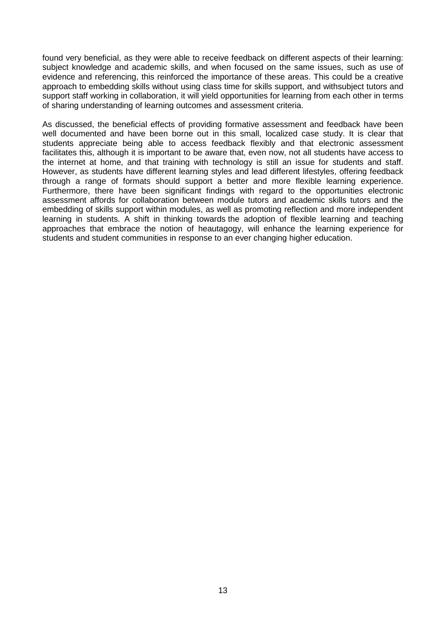found very beneficial, as they were able to receive feedback on different aspects of their learning: subject knowledge and academic skills, and when focused on the same issues, such as use of evidence and referencing, this reinforced the importance of these areas. This could be a creative approach to embedding skills without using class time for skills support, and withsubject tutors and support staff working in collaboration, it will yield opportunities for learning from each other in terms of sharing understanding of learning outcomes and assessment criteria.

As discussed, the beneficial effects of providing formative assessment and feedback have been well documented and have been borne out in this small, localized case study. It is clear that students appreciate being able to access feedback flexibly and that electronic assessment facilitates this, although it is important to be aware that, even now, not all students have access to the internet at home, and that training with technology is still an issue for students and staff. However, as students have different learning styles and lead different lifestyles, offering feedback through a range of formats should support a better and more flexible learning experience. Furthermore, there have been significant findings with regard to the opportunities electronic assessment affords for collaboration between module tutors and academic skills tutors and the embedding of skills support within modules, as well as promoting reflection and more independent learning in students. A shift in thinking towards the adoption of flexible learning and teaching approaches that embrace the notion of heautagogy, will enhance the learning experience for students and student communities in response to an ever changing higher education.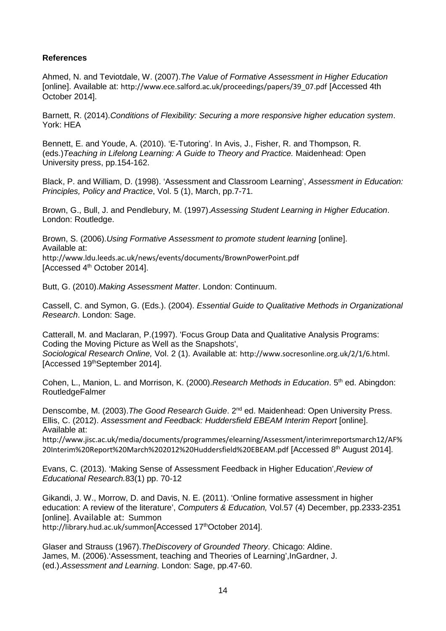#### **References**

Ahmed, N. and Teviotdale, W. (2007).*The Value of Formative Assessment in Higher Education* [online]. Available at: http://www.ece.salford.ac.uk/proceedings/papers/39\_07.pdf [Accessed 4th October 2014].

Barnett, R. (2014).*Conditions of Flexibility: Securing a more responsive higher education system*. York: HEA

Bennett, E. and Youde, A. (2010). 'E-Tutoring'. In Avis, J., Fisher, R. and Thompson, R. (eds.)*Teaching in Lifelong Learning: A Guide to Theory and Practice.* Maidenhead: Open University press, pp.154-162.

Black, P. and William, D. (1998). 'Assessment and Classroom Learning', *Assessment in Education: Principles, Policy and Practice*, Vol. 5 (1), March, pp.7-71.

Brown, G., Bull, J. and Pendlebury, M. (1997).*Assessing Student Learning in Higher Education*. London: Routledge.

Brown, S. (2006).*Using Formative Assessment to promote student learning* [online]. Available at: http://www.ldu.leeds.ac.uk/news/events/documents/BrownPowerPoint.pdf [Accessed 4th October 2014].

Butt, G. (2010).*Making Assessment Matter*. London: Continuum.

Cassell, C. and Symon, G. (Eds.). (2004). *Essential Guide to Qualitative Methods in Organizational Research*. London: Sage.

[Catterall, M. and Maclaran, P.\(](http://socresonline.org.uk/2/1/cattmac.html)1997). 'Focus Group Data and Qualitative Analysis Programs: Coding the Moving Picture as Well as the Snapshots', *Sociological Research Online,* Vol. 2 (1). Available at: http://www.socresonline.org.uk/2/1/6.html. [Accessed 19thSeptember 2014].

Cohen, L., Manion, L. and Morrison, K. (2000).*Research Methods in Education*. 5th ed. Abingdon: RoutledgeFalmer

Denscombe, M. (2003).*The Good Research Guide*. 2nd ed. Maidenhead: Open University Press. Ellis, C. (2012). *Assessment and Feedback: Huddersfield EBEAM Interim Report* [online]. Available at:

http://www.jisc.ac.uk/media/documents/programmes/elearning/Assessment/interimreportsmarch12/AF% 20Interim%20Report%20March%202012%20Huddersfield%20EBEAM.pdf [Accessed 8th August 2014].

Evans, C. (2013). 'Making Sense of Assessment Feedback in Higher Education',*Review of Educational Research.*83(1) pp. 70-12

Gikandi, J. W., Morrow, D. and Davis, N. E. (2011). 'Online formative assessment in higher education: A review of the literature', *Computers & Education,* Vol.57 (4) December, pp.2333-2351 [online]. Available at: Summon http://library.hud.ac.uk/summon[Accessed 17th October 2014].

Glaser and Strauss (1967).*TheDiscovery of Grounded Theory*. Chicago: Aldine. James, M. (2006).'Assessment, teaching and Theories of Learning',InGardner, J. (ed.).*Assessment and Learning*. London: Sage, pp.47-60.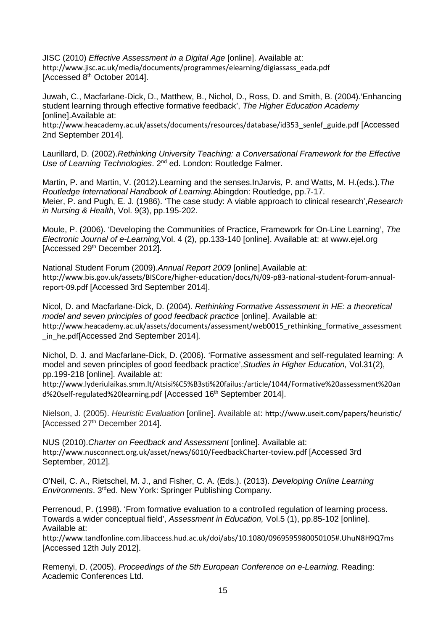JISC (2010) *Effective Assessment in a Digital Age* [online]. Available at: http://www.jisc.ac.uk/media/documents/programmes/elearning/digiassass\_eada.pdf [Accessed 8<sup>th</sup> October 2014].

Juwah, C., Macfarlane-Dick, D., Matthew, B., Nichol, D., Ross, D. and Smith, B. (2004).'Enhancing student learning through effective formative feedback', *The Higher Education Academy*  [online].Available at:

http://www.heacademy.ac.uk/assets/documents/resources/database/id353\_senlef\_guide.pdf [Accessed 2nd September 2014].

Laurillard, D. (2002).*Rethinking University Teaching: a Conversational Framework for the Effective Use of Learning Technologies*. 2nd ed. London: Routledge Falmer.

Martin, P. and Martin, V. (2012).Learning and the senses.InJarvis, P. and Watts, M. H.(eds.).*The Routledge International Handbook of Learning.*Abingdon: Routledge, pp.7-17. Meier, P. and Pugh, E. J. (1986). 'The case study: A viable approach to clinical research',*Research in Nursing & Health*, Vol. 9(3), pp.195-202.

Moule, P. (2006). 'Developing the Communities of Practice, Framework for On-Line Learning', *The Electronic Journal of e-Learning,*Vol. 4 (2), pp.133-140 [online]. Available at: at www.ejel.org [Accessed 29<sup>th</sup> December 2012].

National Student Forum (2009).*Annual Report 2009* [online].Available at: http://www.bis.gov.uk/assets/BISCore/higher-education/docs/N/09-p83-national-student-forum-annualreport-09.pdf [Accessed 3rd September 2014].

Nicol, D. and Macfarlane-Dick, D. (2004). *Rethinking Formative Assessment in HE: a theoretical model and seven principles of good feedback practice* [online]. Available at: http://www.heacademy.ac.uk/assets/documents/assessment/web0015\_rethinking\_formative\_assessment in\_he.pdf[Accessed 2nd September 2014].

Nichol, D. J. and Macfarlane-Dick, D. (2006). 'Formative assessment and self-regulated learning: A model and seven principles of good feedback practice',*Studies in Higher Education,* Vol.31(2), pp.199-218 [online]. Available at:

http://www.lyderiulaikas.smm.lt/Atsisi%C5%B3sti%20failus:/article/1044/Formative%20assessment%20an d%20self-regulated%20learning.pdf [Accessed 16<sup>th</sup> September 2014].

Nielson, J. (2005). *Heuristic Evaluation* [online]. Available at: http://www.useit.com/papers/heuristic/ [Accessed 27<sup>th</sup> December 2014].

NUS (2010).*Charter on Feedback and Assessment* [online]. Available at: http://www.nusconnect.org.uk/asset/news/6010/FeedbackCharter-toview.pdf [Accessed 3rd September, 2012].

O'Neil, C. A., Rietschel, M. J., and Fisher, C. A. (Eds.). (2013). *Developing Online Learning Environments*. 3rded. New York: Springer Publishing Company.

Perrenoud, P. (1998). 'From formative evaluation to a controlled regulation of learning process. Towards a wider conceptual field', *Assessment in Education,* Vol.5 (1), pp.85-102 [online]. Available at:

http://www.tandfonline.com.libaccess.hud.ac.uk/doi/abs/10.1080/0969595980050105#.UhuN8H9Q7ms [Accessed 12th July 2012].

Remenyi, D. (2005). *Proceedings of the 5th European Conference on e-Learning.* Reading: Academic Conferences Ltd.